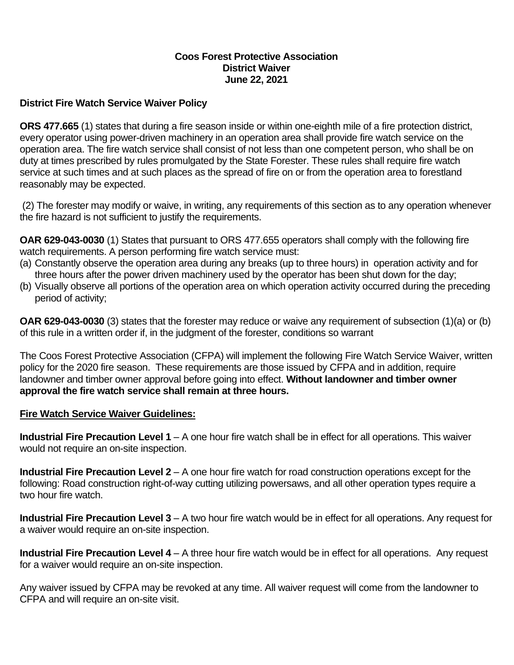### **Coos Forest Protective Association District Waiver June 22, 2021**

### **District Fire Watch Service Waiver Policy**

**ORS 477.665** (1) states that during a fire season inside or within one-eighth mile of a fire protection district, every operator using power-driven machinery in an operation area shall provide fire watch service on the operation area. The fire watch service shall consist of not less than one competent person, who shall be on duty at times prescribed by rules promulgated by the State Forester. These rules shall require fire watch service at such times and at such places as the spread of fire on or from the operation area to forestland reasonably may be expected.

(2) The forester may modify or waive, in writing, any requirements of this section as to any operation whenever the fire hazard is not sufficient to justify the requirements.

**OAR 629-043-0030** (1) States that pursuant to ORS 477.655 operators shall comply with the following fire watch requirements. A person performing fire watch service must:

- (a) Constantly observe the operation area during any breaks (up to three hours) in operation activity and for three hours after the power driven machinery used by the operator has been shut down for the day;
- (b) Visually observe all portions of the operation area on which operation activity occurred during the preceding period of activity;

**OAR 629-043-0030** (3) states that the forester may reduce or waive any requirement of subsection (1)(a) or (b) of this rule in a written order if, in the judgment of the forester, conditions so warrant

The Coos Forest Protective Association (CFPA) will implement the following Fire Watch Service Waiver, written policy for the 2020 fire season. These requirements are those issued by CFPA and in addition, require landowner and timber owner approval before going into effect. **Without landowner and timber owner approval the fire watch service shall remain at three hours.**

### **Fire Watch Service Waiver Guidelines:**

**Industrial Fire Precaution Level 1** – A one hour fire watch shall be in effect for all operations. This waiver would not require an on-site inspection.

**Industrial Fire Precaution Level 2** – A one hour fire watch for road construction operations except for the following: Road construction right-of-way cutting utilizing powersaws, and all other operation types require a two hour fire watch.

**Industrial Fire Precaution Level 3** – A two hour fire watch would be in effect for all operations. Any request for a waiver would require an on-site inspection.

**Industrial Fire Precaution Level 4** – A three hour fire watch would be in effect for all operations. Any request for a waiver would require an on-site inspection.

Any waiver issued by CFPA may be revoked at any time. All waiver request will come from the landowner to CFPA and will require an on-site visit.